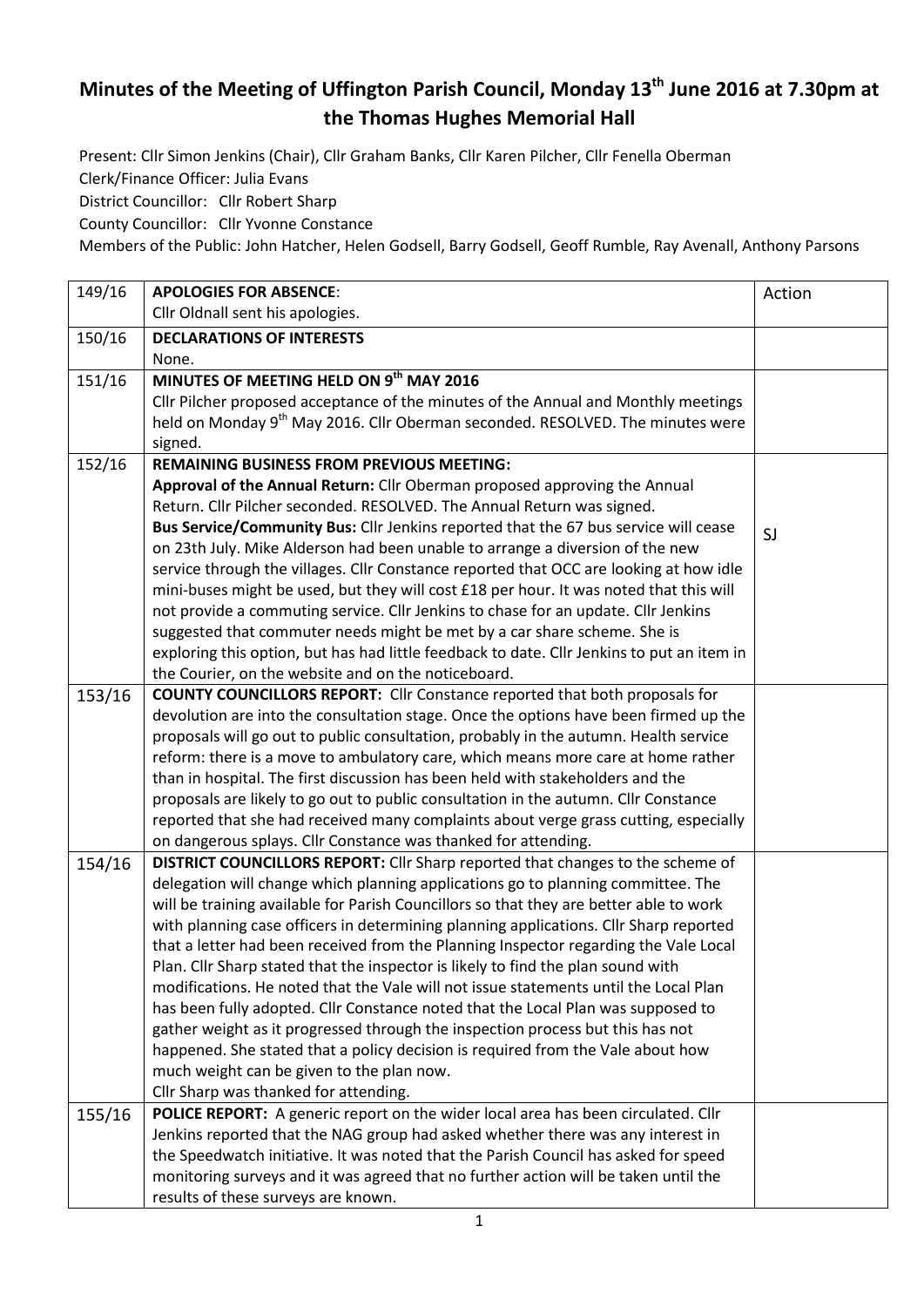## **Minutes of the Meeting of Uffington Parish Council, Monday 13th June 2016 at 7.30pm at the Thomas Hughes Memorial Hall**

Present: Cllr Simon Jenkins (Chair), Cllr Graham Banks, Cllr Karen Pilcher, Cllr Fenella Oberman Clerk/Finance Officer: Julia Evans

District Councillor: Cllr Robert Sharp

County Councillor: Cllr Yvonne Constance

Members of the Public: John Hatcher, Helen Godsell, Barry Godsell, Geoff Rumble, Ray Avenall, Anthony Parsons

| 149/16 | <b>APOLOGIES FOR ABSENCE:</b>                                                              | Action |
|--------|--------------------------------------------------------------------------------------------|--------|
|        | Cllr Oldnall sent his apologies.                                                           |        |
| 150/16 | <b>DECLARATIONS OF INTERESTS</b>                                                           |        |
|        | None.                                                                                      |        |
| 151/16 | MINUTES OF MEETING HELD ON 9th MAY 2016                                                    |        |
|        | Cllr Pilcher proposed acceptance of the minutes of the Annual and Monthly meetings         |        |
|        | held on Monday 9 <sup>th</sup> May 2016. Cllr Oberman seconded. RESOLVED. The minutes were |        |
|        | signed.                                                                                    |        |
| 152/16 | <b>REMAINING BUSINESS FROM PREVIOUS MEETING:</b>                                           |        |
|        | Approval of the Annual Return: Cllr Oberman proposed approving the Annual                  |        |
|        | Return. Cllr Pilcher seconded. RESOLVED. The Annual Return was signed.                     |        |
|        | Bus Service/Community Bus: Cllr Jenkins reported that the 67 bus service will cease        | SJ     |
|        | on 23th July. Mike Alderson had been unable to arrange a diversion of the new              |        |
|        | service through the villages. Cllr Constance reported that OCC are looking at how idle     |        |
|        | mini-buses might be used, but they will cost £18 per hour. It was noted that this will     |        |
|        | not provide a commuting service. Cllr Jenkins to chase for an update. Cllr Jenkins         |        |
|        | suggested that commuter needs might be met by a car share scheme. She is                   |        |
|        | exploring this option, but has had little feedback to date. Cllr Jenkins to put an item in |        |
|        | the Courier, on the website and on the noticeboard.                                        |        |
| 153/16 | <b>COUNTY COUNCILLORS REPORT:</b> Cllr Constance reported that both proposals for          |        |
|        | devolution are into the consultation stage. Once the options have been firmed up the       |        |
|        | proposals will go out to public consultation, probably in the autumn. Health service       |        |
|        | reform: there is a move to ambulatory care, which means more care at home rather           |        |
|        | than in hospital. The first discussion has been held with stakeholders and the             |        |
|        | proposals are likely to go out to public consultation in the autumn. Cllr Constance        |        |
|        | reported that she had received many complaints about verge grass cutting, especially       |        |
|        | on dangerous splays. Cllr Constance was thanked for attending.                             |        |
| 154/16 | DISTRICT COUNCILLORS REPORT: Cllr Sharp reported that changes to the scheme of             |        |
|        | delegation will change which planning applications go to planning committee. The           |        |
|        | will be training available for Parish Councillors so that they are better able to work     |        |
|        | with planning case officers in determining planning applications. Cllr Sharp reported      |        |
|        | that a letter had been received from the Planning Inspector regarding the Vale Local       |        |
|        | Plan. Cllr Sharp stated that the inspector is likely to find the plan sound with           |        |
|        | modifications. He noted that the Vale will not issue statements until the Local Plan       |        |
|        | has been fully adopted. Cllr Constance noted that the Local Plan was supposed to           |        |
|        | gather weight as it progressed through the inspection process but this has not             |        |
|        | happened. She stated that a policy decision is required from the Vale about how            |        |
|        | much weight can be given to the plan now.                                                  |        |
|        | Cllr Sharp was thanked for attending.                                                      |        |
| 155/16 | POLICE REPORT: A generic report on the wider local area has been circulated. Cllr          |        |
|        | Jenkins reported that the NAG group had asked whether there was any interest in            |        |
|        | the Speedwatch initiative. It was noted that the Parish Council has asked for speed        |        |
|        | monitoring surveys and it was agreed that no further action will be taken until the        |        |
|        | results of these surveys are known.                                                        |        |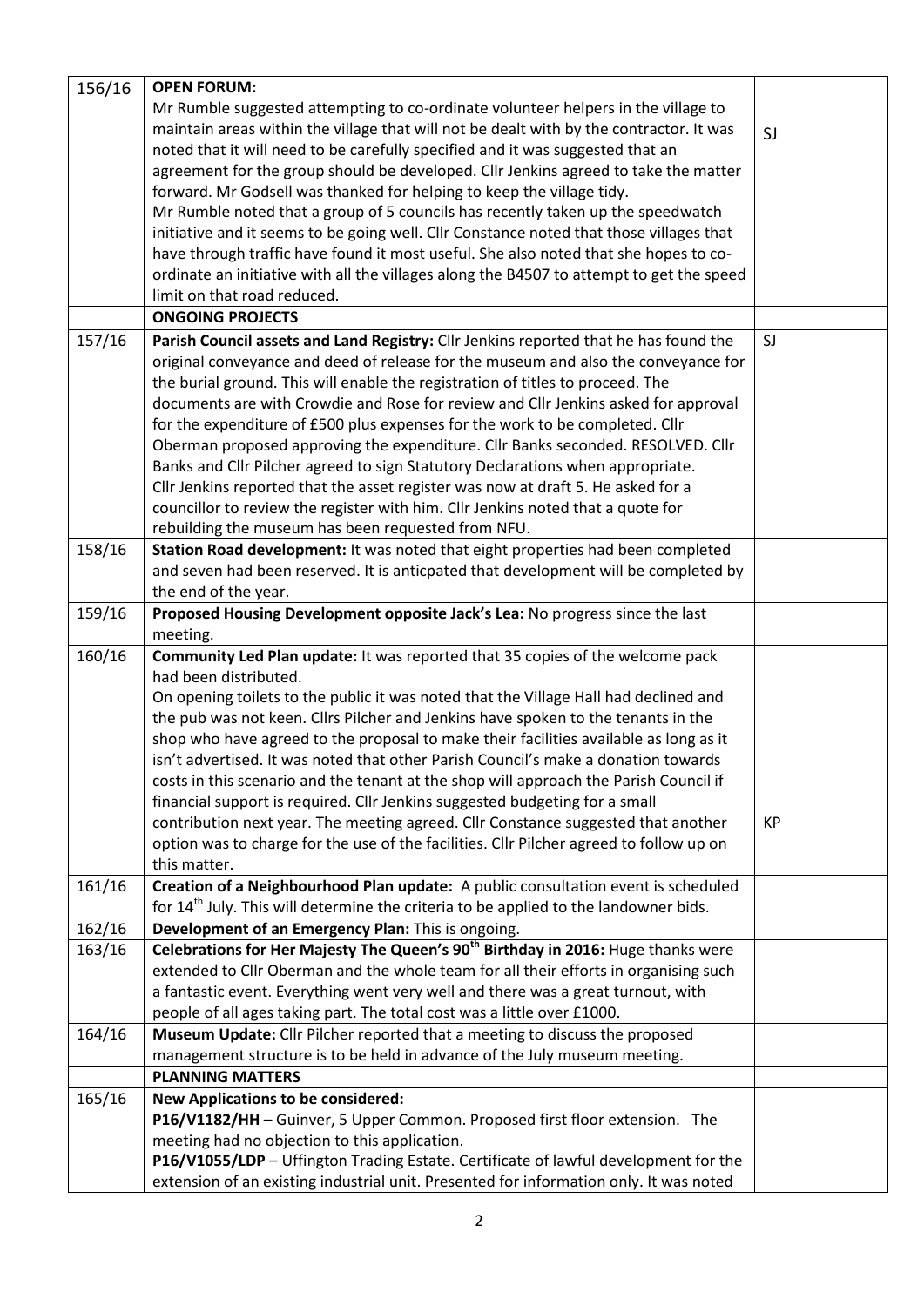| 156/16 | <b>OPEN FORUM:</b>                                                                               |           |
|--------|--------------------------------------------------------------------------------------------------|-----------|
|        | Mr Rumble suggested attempting to co-ordinate volunteer helpers in the village to                |           |
|        | maintain areas within the village that will not be dealt with by the contractor. It was          | SJ        |
|        | noted that it will need to be carefully specified and it was suggested that an                   |           |
|        | agreement for the group should be developed. Cllr Jenkins agreed to take the matter              |           |
|        | forward. Mr Godsell was thanked for helping to keep the village tidy.                            |           |
|        | Mr Rumble noted that a group of 5 councils has recently taken up the speedwatch                  |           |
|        | initiative and it seems to be going well. Cllr Constance noted that those villages that          |           |
|        | have through traffic have found it most useful. She also noted that she hopes to co-             |           |
|        | ordinate an initiative with all the villages along the B4507 to attempt to get the speed         |           |
|        | limit on that road reduced.                                                                      |           |
|        | <b>ONGOING PROJECTS</b>                                                                          |           |
| 157/16 | Parish Council assets and Land Registry: Cllr Jenkins reported that he has found the             | SJ        |
|        | original conveyance and deed of release for the museum and also the conveyance for               |           |
|        | the burial ground. This will enable the registration of titles to proceed. The                   |           |
|        | documents are with Crowdie and Rose for review and Cllr Jenkins asked for approval               |           |
|        | for the expenditure of £500 plus expenses for the work to be completed. Cllr                     |           |
|        | Oberman proposed approving the expenditure. Cllr Banks seconded. RESOLVED. Cllr                  |           |
|        | Banks and Cllr Pilcher agreed to sign Statutory Declarations when appropriate.                   |           |
|        | Cllr Jenkins reported that the asset register was now at draft 5. He asked for a                 |           |
|        | councillor to review the register with him. Cllr Jenkins noted that a quote for                  |           |
|        | rebuilding the museum has been requested from NFU.                                               |           |
| 158/16 | Station Road development: It was noted that eight properties had been completed                  |           |
|        | and seven had been reserved. It is anticpated that development will be completed by              |           |
|        | the end of the year.                                                                             |           |
| 159/16 | Proposed Housing Development opposite Jack's Lea: No progress since the last                     |           |
|        | meeting.                                                                                         |           |
| 160/16 | Community Led Plan update: It was reported that 35 copies of the welcome pack                    |           |
|        | had been distributed.                                                                            |           |
|        | On opening toilets to the public it was noted that the Village Hall had declined and             |           |
|        | the pub was not keen. Cllrs Pilcher and Jenkins have spoken to the tenants in the                |           |
|        | shop who have agreed to the proposal to make their facilities available as long as it            |           |
|        | isn't advertised. It was noted that other Parish Council's make a donation towards               |           |
|        | costs in this scenario and the tenant at the shop will approach the Parish Council if            |           |
|        | financial support is required. Cllr Jenkins suggested budgeting for a small                      |           |
|        | contribution next year. The meeting agreed. Cllr Constance suggested that another                | <b>KP</b> |
|        | option was to charge for the use of the facilities. Cllr Pilcher agreed to follow up on          |           |
|        | this matter.                                                                                     |           |
| 161/16 | Creation of a Neighbourhood Plan update: A public consultation event is scheduled                |           |
|        | for 14 <sup>th</sup> July. This will determine the criteria to be applied to the landowner bids. |           |
| 162/16 | Development of an Emergency Plan: This is ongoing.                                               |           |
| 163/16 | Celebrations for Her Majesty The Queen's 90 <sup>th</sup> Birthday in 2016: Huge thanks were     |           |
|        | extended to Cllr Oberman and the whole team for all their efforts in organising such             |           |
|        | a fantastic event. Everything went very well and there was a great turnout, with                 |           |
|        | people of all ages taking part. The total cost was a little over £1000.                          |           |
| 164/16 | Museum Update: Cllr Pilcher reported that a meeting to discuss the proposed                      |           |
|        | management structure is to be held in advance of the July museum meeting.                        |           |
|        | <b>PLANNING MATTERS</b>                                                                          |           |
| 165/16 | <b>New Applications to be considered:</b>                                                        |           |
|        | P16/V1182/HH - Guinver, 5 Upper Common. Proposed first floor extension. The                      |           |
|        | meeting had no objection to this application.                                                    |           |
|        | P16/V1055/LDP - Uffington Trading Estate. Certificate of lawful development for the              |           |
|        | extension of an existing industrial unit. Presented for information only. It was noted           |           |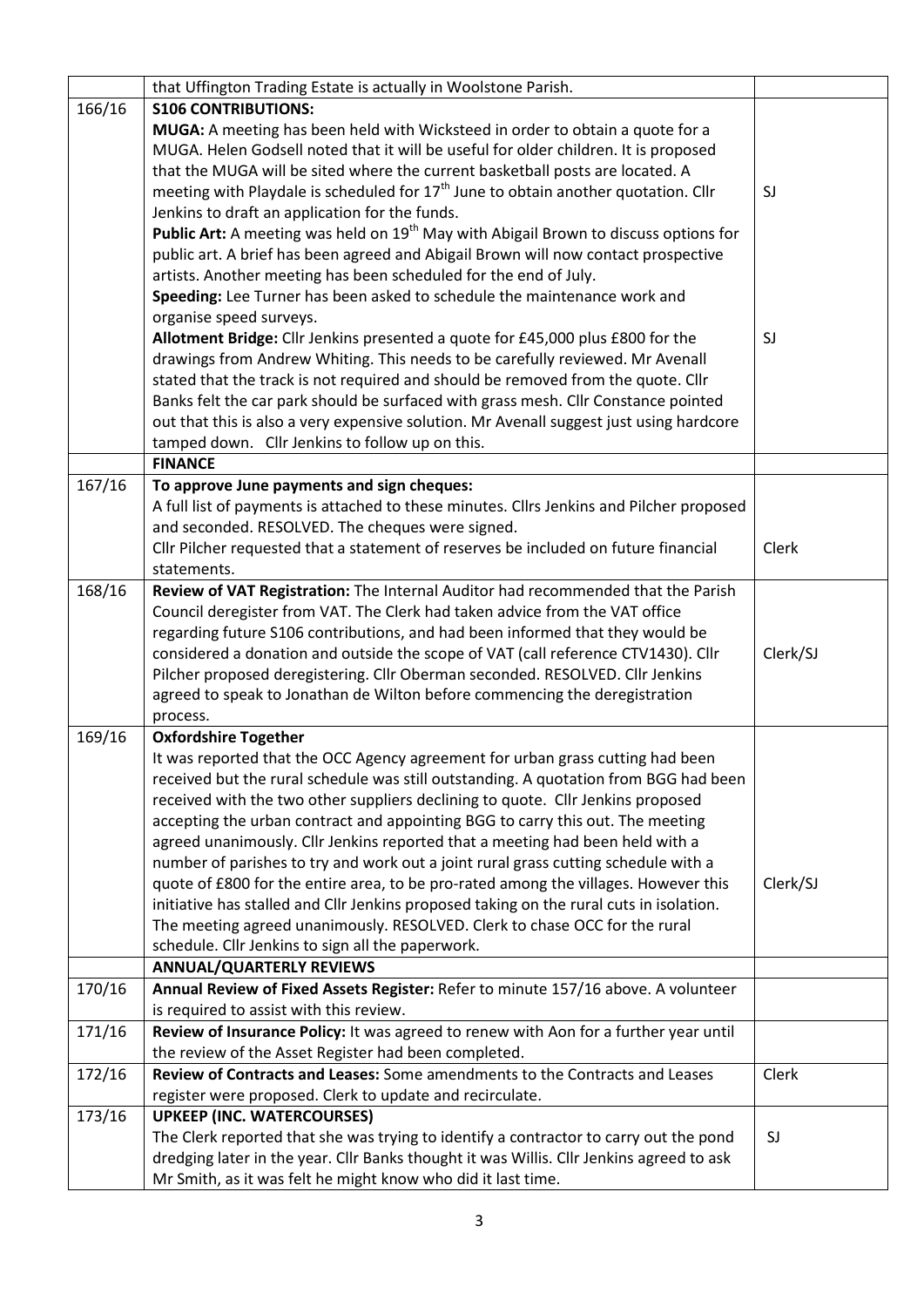|        | that Uffington Trading Estate is actually in Woolstone Parish.                                   |          |
|--------|--------------------------------------------------------------------------------------------------|----------|
| 166/16 | <b>S106 CONTRIBUTIONS:</b>                                                                       |          |
|        | MUGA: A meeting has been held with Wicksteed in order to obtain a quote for a                    |          |
|        | MUGA. Helen Godsell noted that it will be useful for older children. It is proposed              |          |
|        | that the MUGA will be sited where the current basketball posts are located. A                    |          |
|        | meeting with Playdale is scheduled for $17th$ June to obtain another quotation. Cllr             | SJ       |
|        | Jenkins to draft an application for the funds.                                                   |          |
|        | Public Art: A meeting was held on 19 <sup>th</sup> May with Abigail Brown to discuss options for |          |
|        | public art. A brief has been agreed and Abigail Brown will now contact prospective               |          |
|        | artists. Another meeting has been scheduled for the end of July.                                 |          |
|        | Speeding: Lee Turner has been asked to schedule the maintenance work and                         |          |
|        | organise speed surveys.                                                                          |          |
|        | Allotment Bridge: Cllr Jenkins presented a quote for £45,000 plus £800 for the                   | SJ       |
|        | drawings from Andrew Whiting. This needs to be carefully reviewed. Mr Avenall                    |          |
|        | stated that the track is not required and should be removed from the quote. Cllr                 |          |
|        | Banks felt the car park should be surfaced with grass mesh. Cllr Constance pointed               |          |
|        | out that this is also a very expensive solution. Mr Avenall suggest just using hardcore          |          |
|        | tamped down. Cllr Jenkins to follow up on this.                                                  |          |
|        | <b>FINANCE</b>                                                                                   |          |
| 167/16 | To approve June payments and sign cheques:                                                       |          |
|        | A full list of payments is attached to these minutes. Cllrs Jenkins and Pilcher proposed         |          |
|        | and seconded. RESOLVED. The cheques were signed.                                                 |          |
|        |                                                                                                  | Clerk    |
|        | Cllr Pilcher requested that a statement of reserves be included on future financial              |          |
|        | statements.                                                                                      |          |
| 168/16 | Review of VAT Registration: The Internal Auditor had recommended that the Parish                 |          |
|        | Council deregister from VAT. The Clerk had taken advice from the VAT office                      |          |
|        | regarding future S106 contributions, and had been informed that they would be                    |          |
|        | considered a donation and outside the scope of VAT (call reference CTV1430). Cllr                | Clerk/SJ |
|        | Pilcher proposed deregistering. Cllr Oberman seconded. RESOLVED. Cllr Jenkins                    |          |
|        | agreed to speak to Jonathan de Wilton before commencing the deregistration                       |          |
|        | process.                                                                                         |          |
| 169/16 | <b>Oxfordshire Together</b>                                                                      |          |
|        | It was reported that the OCC Agency agreement for urban grass cutting had been                   |          |
|        | received but the rural schedule was still outstanding. A quotation from BGG had been             |          |
|        | received with the two other suppliers declining to quote. Cllr Jenkins proposed                  |          |
|        | accepting the urban contract and appointing BGG to carry this out. The meeting                   |          |
|        | agreed unanimously. Cllr Jenkins reported that a meeting had been held with a                    |          |
|        | number of parishes to try and work out a joint rural grass cutting schedule with a               |          |
|        | quote of £800 for the entire area, to be pro-rated among the villages. However this              | Clerk/SJ |
|        | initiative has stalled and Cllr Jenkins proposed taking on the rural cuts in isolation.          |          |
|        | The meeting agreed unanimously. RESOLVED. Clerk to chase OCC for the rural                       |          |
|        | schedule. Cllr Jenkins to sign all the paperwork.                                                |          |
|        | <b>ANNUAL/QUARTERLY REVIEWS</b>                                                                  |          |
| 170/16 | Annual Review of Fixed Assets Register: Refer to minute 157/16 above. A volunteer                |          |
|        | is required to assist with this review.                                                          |          |
| 171/16 | Review of Insurance Policy: It was agreed to renew with Aon for a further year until             |          |
|        | the review of the Asset Register had been completed.                                             |          |
| 172/16 | Review of Contracts and Leases: Some amendments to the Contracts and Leases                      | Clerk    |
|        | register were proposed. Clerk to update and recirculate.                                         |          |
| 173/16 | <b>UPKEEP (INC. WATERCOURSES)</b>                                                                |          |
|        | The Clerk reported that she was trying to identify a contractor to carry out the pond            | SJ       |
|        | dredging later in the year. Cllr Banks thought it was Willis. Cllr Jenkins agreed to ask         |          |
|        | Mr Smith, as it was felt he might know who did it last time.                                     |          |
|        |                                                                                                  |          |